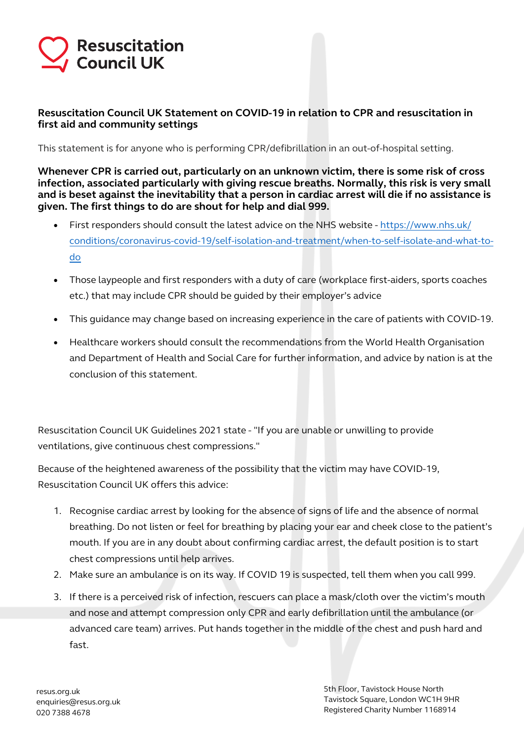## **Resuscitation Council UK**

### **Resuscitation Council UK Statement on COVID-19 in relation to CPR and resuscitation in first aid and community settings**

This statement is for anyone who is performing CPR/defibrillation in an out-of-hospital setting.

**Whenever CPR is carried out, particularly on an unknown victim, there is some risk of cross infection, associated particularly with giving rescue breaths. Normally, this risk is very small and is beset against the inevitability that a person in cardiac arrest will die if no assistance is given. The first things to do are shout for help and dial 999.** 

- First responders should consult the latest advice on the NHS website https://www.nhs.uk/ [conditions/coronavirus-covid-19/self-isolation-and-treatment/when-to-self-isolate-and-what-to](https://www.nhs.uk/conditions/coronavirus-covid-19/self-isolation-and-treatment/when-to-self-isolate-and-what-to-do/)do
- Those laypeople and first responders with a duty of care (workplace first-aiders, sports coaches etc.) that may include CPR should be guided by their employer's advice
- This guidance may change based on increasing experience in the care of patients with COVID-19.
- Healthcare workers should consult the recommendations from the World Health Organisation and Department of Health and Social Care for further information, and advice by nation is at the conclusion of this statement.

Resuscitation Council UK Guidelines 2021 state - "If you are unable or unwilling to provide ventilations, give continuous chest compressions."

Because of the heightened awareness of the possibility that the victim may have COVID-19, Resuscitation Council UK offers this advice:

- 1. Recognise cardiac arrest by looking for the absence of signs of life and the absence of normal breathing. Do not listen or feel for breathing by placing your ear and cheek close to the patient's mouth. If you are in any doubt about confirming cardiac arrest, the default position is to start chest compressions until help arrives.
- 2. Make sure an ambulance is on its way. If COVID 19 is suspected, tell them when you call 999.
- 3. If there is a perceived risk of infection, rescuers can place a mask/cloth over the victim's mouth and nose and attempt compression only CPR and early defibrillation until the ambulance (or advanced care team) arrives. Put hands together in the middle of the chest and push hard and fast.